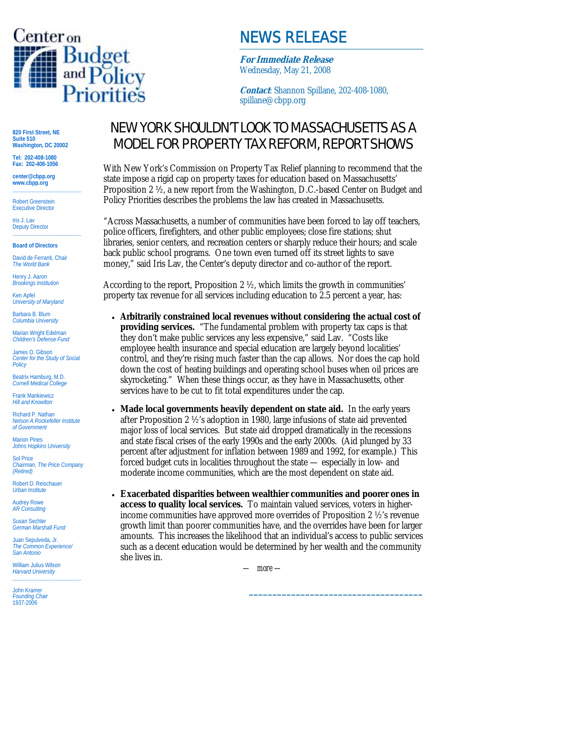

## NEWS RELEASE

**For Immediate Release** Wednesday, May 21, 2008

**Contact**: Shannon Spillane, 202-408-1080, spillane@cbpp.org

**820 First Street, NE Suite 510 Washington, DC 20002** 

**Tel: 202-408-1080 Fax: 202-408-1056** 

**center@cbpp.org www.cbpp.org \_\_\_\_\_\_\_\_\_\_\_\_\_\_\_\_\_\_\_\_\_\_\_\_** 

Robert Greenstein **Executive Director** 

Iris J. Lav Deputy Director **\_\_\_\_\_\_\_\_\_\_\_\_\_\_\_\_\_\_\_\_\_\_\_\_** 

**Board of Directors**  David de Ferranti, Chair

*The World Bank* 

Henry J. Aaron *Brookings Institution* 

Ken Apfel *University of Maryland* 

Barbara B. Blum *Columbia University* 

Marian Wright Edelman *Children's Defense Fund* 

James O. Gibson *Center for the Study of Social Policy* 

Beatrix Hamburg, M.D. *Cornell Medical College* 

Frank Mankiewicz *Hill and Knowlton* 

Richard P. Nathan *Nelson A Rockefeller Institute of Government* 

Marion Pines *Johns Hopkins University* 

Sol Price *Chairman, The Price Company (Retired)* 

Robert D. Reischauer *Urban Institute* 

Audrey Rowe *AR Consulting* 

Susan Sechler *German Marshall Fund* 

Juan Sepulveda, Jr. *The Common Experience/ San Antonio* 

William Julius Wilson *Harvard University*  **\_\_\_\_\_\_\_\_\_\_\_\_\_\_\_\_\_\_\_\_\_\_\_\_** 

John Kramer *Founding Chair*  1937-2006

## NEW YORK SHOULDN'T LOOK TO MASSACHUSETTS AS A MODEL FOR PROPERTY TAX REFORM, REPORT SHOWS

With New York's Commission on Property Tax Relief planning to recommend that the state impose a rigid cap on property taxes for education based on Massachusetts' Proposition 2 ½, a new report from the Washington, D.C.-based Center on Budget and Policy Priorities describes the problems the law has created in Massachusetts.

"Across Massachusetts, a number of communities have been forced to lay off teachers, police officers, firefighters, and other public employees; close fire stations; shut libraries, senior centers, and recreation centers or sharply reduce their hours; and scale back public school programs. One town even turned off its street lights to save money," said Iris Lav, the Center's deputy director and co-author of the report.

According to the report, Proposition 2 ½, which limits the growth in communities' property tax revenue for all services including education to 2.5 percent a year, has:

- **Arbitrarily constrained local revenues without considering the actual cost of providing services.** "The fundamental problem with property tax caps is that they don't make public services any less expensive," said Lav. "Costs like employee health insurance and special education are largely beyond localities' control, and they're rising much faster than the cap allows. Nor does the cap hold down the cost of heating buildings and operating school buses when oil prices are skyrocketing." When these things occur, as they have in Massachusetts, other services have to be cut to fit total expenditures under the cap.
- **Made local governments heavily dependent on state aid.** In the early years after Proposition 2 ½'s adoption in 1980, large infusions of state aid prevented major loss of local services. But state aid dropped dramatically in the recessions and state fiscal crises of the early 1990s and the early 2000s. (Aid plunged by 33 percent after adjustment for inflation between 1989 and 1992, for example.) This forced budget cuts in localities throughout the state — especially in low- and moderate income communities, which are the most dependent on state aid.

• **Exacerbated disparities between wealthier communities and poorer ones in access to quality local services.** To maintain valued services, voters in higherincome communities have approved more overrides of Proposition 2 ½'s revenue growth limit than poorer communities have, and the overrides have been for larger amounts. This increases the likelihood that an individual's access to public services such as a decent education would be determined by her wealth and the community she lives in.

 $-$  more  $-$ 

**\_\_\_\_\_\_\_\_\_\_\_\_\_\_\_\_\_\_\_\_\_\_\_\_\_\_\_\_\_\_\_\_\_\_\_\_\_**